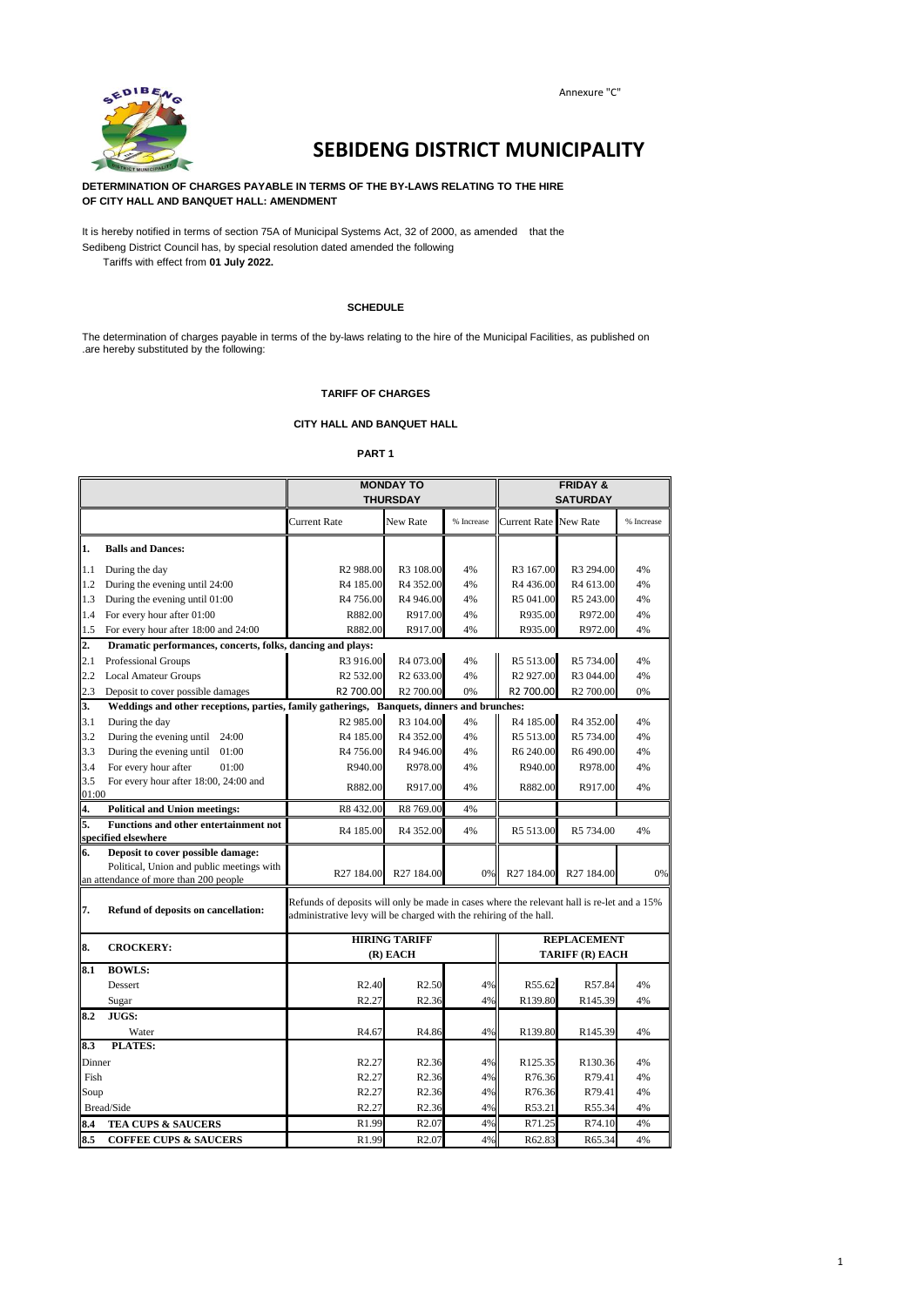

# **SEBIDENG DISTRICT MUNICIPALITY**

**DETERMINATION OF CHARGES PAYABLE IN TERMS OF THE BY-LAWS RELATING TO THE HIRE OF CITY HALL AND BANQUET HALL: AMENDMENT**

It is hereby notified in terms of section 75A of Municipal Systems Act, 32 of 2000, as amended that the Sedibeng District Council has, by special resolution dated amended the following Tariffs with effect from **01 July 2022.**

#### **SCHEDULE**

The determination of charges payable in terms of the by-laws relating to the hire of the Municipal Facilities, as published on .are hereby substituted by the following:

#### **TARIFF OF CHARGES**

#### **CITY HALL AND BANQUET HALL**

#### **PART 1**

|                  |                                                                     | <b>MONDAY TO</b><br><b>THURSDAY</b>                                                                                                                              |                       |            |                       | <b>FRIDAY &amp;</b><br><b>SATURDAY</b> |            |
|------------------|---------------------------------------------------------------------|------------------------------------------------------------------------------------------------------------------------------------------------------------------|-----------------------|------------|-----------------------|----------------------------------------|------------|
|                  |                                                                     | Current Rate                                                                                                                                                     | New Rate              | % Increase | Current Rate New Rate |                                        | % Increase |
| 1.               | <b>Balls and Dances:</b>                                            |                                                                                                                                                                  |                       |            |                       |                                        |            |
| 1.1              | During the day                                                      | R <sub>2</sub> 988.00                                                                                                                                            | R3 108.00             | 4%         | R3 167.00             | R3 294.00                              | 4%         |
| 1.2              | During the evening until 24:00                                      | R4 185.00                                                                                                                                                        | R4 352.00             | 4%         | R4 436.00             | R4 613.00                              | 4%         |
| 1.3              | During the evening until 01:00                                      | R4 756.00                                                                                                                                                        | R4 946.00             | 4%         | R5 041.00             | R5 243.00                              | 4%         |
| 1.4              | For every hour after 01:00                                          | R882.00                                                                                                                                                          | R917.00               | 4%         | R935.00               | R972.00                                | 4%         |
| 1.5              | For every hour after 18:00 and 24:00                                | R882.00                                                                                                                                                          | R917.00               | 4%         | R935.00               | R972.00                                | 4%         |
| $\overline{2}$ . | Dramatic performances, concerts, folks, dancing and plays:          |                                                                                                                                                                  |                       |            |                       |                                        |            |
| 2.1              | <b>Professional Groups</b>                                          | R3 916.00                                                                                                                                                        | R4 073.00             | 4%         | R5 513.00             | R5 734.00                              | 4%         |
| 2.2              | <b>Local Amateur Groups</b>                                         | R <sub>2</sub> 532.00                                                                                                                                            | R <sub>2</sub> 633.00 | 4%         | R <sub>2</sub> 927.00 | R3 044.00                              | 4%         |
| 2.3              | Deposit to cover possible damages                                   | R2 700.00                                                                                                                                                        | R <sub>2</sub> 700.00 | 0%         | R2 700.00             | R <sub>2</sub> 700.00                  | 0%         |
| 3.               |                                                                     | Weddings and other receptions, parties, family gatherings, Banquets, dinners and brunches:                                                                       |                       |            |                       |                                        |            |
| 3.1              | During the day                                                      | R <sub>2</sub> 985.00                                                                                                                                            | R3 104.00             | 4%         | R4 185.00             | R4 352.00                              | 4%         |
| 3.2              | During the evening until<br>24:00                                   | R4 185.00                                                                                                                                                        | R <sub>4</sub> 352.00 | 4%         | R5 513.00             | R5 734.00                              | 4%         |
| 3.3              | During the evening until $01:00$                                    | R <sub>4</sub> 756.00                                                                                                                                            | R4 946.00             | 4%         | R6 240.00             | R6490.00                               | 4%         |
| 3.4              | For every hour after<br>01:00                                       | R940.00                                                                                                                                                          | R978.00               | 4%         | R940.00               | R978.00                                | 4%         |
| 3.5              | For every hour after 18:00, 24:00 and                               | R882.00                                                                                                                                                          | R917.00               | 4%         | R882.00               | R917.00                                | 4%         |
| 01:00            |                                                                     |                                                                                                                                                                  |                       |            |                       |                                        |            |
| 4.               | <b>Political and Union meetings:</b>                                | R8432.00                                                                                                                                                         | R8 769.00             | 4%         |                       |                                        |            |
| 5.               | <b>Functions and other entertainment not</b><br>specified elsewhere | R4 185.00                                                                                                                                                        | R4 352.00             | 4%         | R5 513.00             | R5 734.00                              | 4%         |
| 6.               | Deposit to cover possible damage:                                   |                                                                                                                                                                  |                       |            |                       |                                        |            |
|                  | Political, Union and public meetings with                           | R27 184.00                                                                                                                                                       | R27 184.00            | 0%         | R27 184.00            | R27 184.00                             | 0%         |
|                  | an attendance of more than 200 people                               |                                                                                                                                                                  |                       |            |                       |                                        |            |
| 7.               | Refund of deposits on cancellation:                                 | Refunds of deposits will only be made in cases where the relevant hall is re-let and a 15%<br>administrative levy will be charged with the rehiring of the hall. |                       |            |                       |                                        |            |
| 8.               | <b>CROCKERY:</b>                                                    |                                                                                                                                                                  | <b>HIRING TARIFF</b>  |            |                       | <b>REPLACEMENT</b>                     |            |
|                  |                                                                     |                                                                                                                                                                  | (R) EACH              |            |                       | TARIFF (R) EACH                        |            |
| 8.1              | <b>BOWLS:</b>                                                       |                                                                                                                                                                  |                       |            |                       |                                        |            |
|                  | Dessert                                                             | R <sub>2.40</sub>                                                                                                                                                | R <sub>2.50</sub>     | 4%         | R55.62                | R57.84                                 | 4%         |
|                  | Sugar                                                               | R <sub>2.27</sub>                                                                                                                                                | R <sub>2.36</sub>     | 4%         | R139.80               | R145.39                                | 4%         |
| 8.2              | JUGS:                                                               |                                                                                                                                                                  |                       |            |                       |                                        |            |
|                  | Water                                                               | R <sub>4.67</sub>                                                                                                                                                | R4.86                 | 4%         | R139.80               | R145.39                                | 4%         |
| 8.3              | <b>PLATES:</b>                                                      |                                                                                                                                                                  |                       |            |                       |                                        |            |
| Dinner           |                                                                     | R <sub>2.27</sub>                                                                                                                                                | R <sub>2.36</sub>     | 4%         | R125.35               | R130.36                                | 4%         |
| Fish             |                                                                     | R <sub>2.27</sub>                                                                                                                                                | R <sub>2.36</sub>     | 4%         | R76.36                | R79.41                                 | 4%         |
| Soup             |                                                                     | R <sub>2.27</sub>                                                                                                                                                | R <sub>2.36</sub>     | 4%         | R76.36                | R79.41                                 | 4%         |
|                  | Bread/Side                                                          | R <sub>2.27</sub>                                                                                                                                                | R <sub>2.36</sub>     | 4%         | R53.21                | R55.34                                 | 4%         |
| 8.4              | <b>TEA CUPS &amp; SAUCERS</b>                                       | R1.99                                                                                                                                                            | R <sub>2.07</sub>     | 4%         | R71.25                | R74.10                                 | 4%         |
| 8.5              | <b>COFFEE CUPS &amp; SAUCERS</b>                                    | R1.99                                                                                                                                                            | R <sub>2.07</sub>     | 4%         | R62.83                | R65.34                                 | 4%         |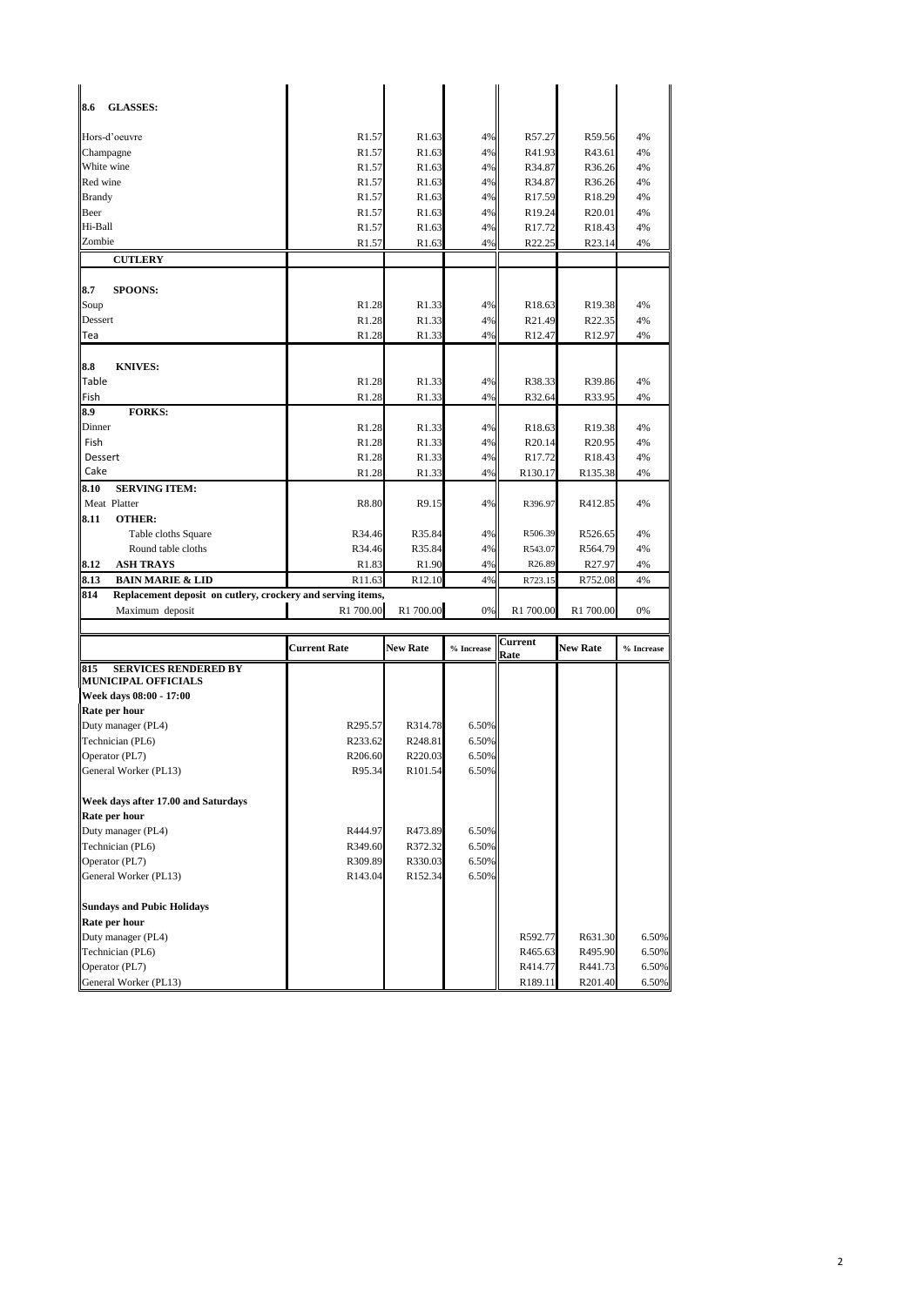| 8.6<br><b>GLASSES:</b>                                             |                     |                    |            |                    |                    |            |
|--------------------------------------------------------------------|---------------------|--------------------|------------|--------------------|--------------------|------------|
| Hors-d'oeuvre                                                      | R <sub>1.57</sub>   | R <sub>1.63</sub>  | 4%         | R57.27             | R59.56             | 4%         |
| Champagne                                                          | R <sub>1.57</sub>   | R <sub>1.63</sub>  | 4%         | R41.93             | R43.61             | 4%         |
| White wine                                                         | R <sub>1.57</sub>   | R <sub>1.63</sub>  | 4%         | R34.87             | R36.26             | 4%         |
| Red wine                                                           | R <sub>1.57</sub>   | R1.63              | 4%         | R34.87             | R36.26             | 4%         |
| <b>Brandy</b>                                                      | R <sub>1.57</sub>   | R <sub>1.63</sub>  | 4%         | R <sub>17.59</sub> | R18.29             | 4%         |
| Beer                                                               | R <sub>1.57</sub>   | R1.63              | 4%         | R19.24             | R <sub>20.01</sub> | 4%         |
| Hi-Ball                                                            | R <sub>1.57</sub>   | R1.63              | 4%         | R17.72             | R18.43             | 4%         |
| Zombie                                                             | R <sub>1.57</sub>   | R1.63              | 4%         | R22.25             | R23.14             | 4%         |
| <b>CUTLERY</b>                                                     |                     |                    |            |                    |                    |            |
| 8.7<br><b>SPOONS:</b>                                              |                     |                    |            |                    |                    |            |
| Soup                                                               | R1.28               | R1.33              | 4%         | R18.63             | R19.38             | 4%         |
| Dessert                                                            | R1.28               | R1.33              | 4%         | R21.49             | R22.35             | 4%         |
| Tea                                                                | R <sub>1.28</sub>   | R <sub>1.33</sub>  | 4%         | R <sub>12.47</sub> | R <sub>12.97</sub> | 4%         |
| 8.8<br><b>KNIVES:</b>                                              |                     |                    |            |                    |                    |            |
| Table                                                              | R <sub>1.28</sub>   | R1.33              | 4%         | R38.33             | R39.86             | 4%         |
| Fish                                                               | R1.28               | R <sub>1.33</sub>  | 4%         | R32.64             | R33.95             | 4%         |
| 8.9<br><b>FORKS:</b>                                               |                     |                    |            |                    |                    |            |
| Dinner                                                             | R <sub>1.28</sub>   | R <sub>1.33</sub>  | 4%         | R18.63             | R19.38             | 4%         |
| Fish                                                               | R1.28               | R1.33              | 4%         | R20.14             | R <sub>20.95</sub> | 4%         |
| Dessert                                                            | R <sub>1.28</sub>   | R1.33              | 4%         | R <sub>17.72</sub> | R18.43             | 4%         |
| Cake                                                               | R1.28               | R <sub>1.33</sub>  | 4%         | R130.17            | R135.38            | 4%         |
| <b>SERVING ITEM:</b><br>8.10                                       |                     |                    |            |                    |                    |            |
| Meat Platter                                                       | R8.80               | R9.15              | 4%         | R396.97            | R412.85            | 4%         |
| 8.11<br><b>OTHER:</b>                                              |                     |                    |            |                    |                    |            |
| Table cloths Square                                                | R34.46              | R35.84             | 4%         | R506.39            | R526.65            | 4%         |
| Round table cloths                                                 | R34.46              | R35.84             | 4%         | R543.07            | R564.79            | 4%         |
| 8.12<br><b>ASH TRAYS</b>                                           | R <sub>1.83</sub>   | R <sub>1.90</sub>  | 4%         | R26.89             | R27.97             | 4%         |
| 8.13<br><b>BAIN MARIE &amp; LID</b>                                | R11.63              | R <sub>12.10</sub> | 4%         | R723.15            | R752.08            | 4%         |
| 814<br>Replacement deposit on cutlery, crockery and serving items, | R1 700.00           | R1 700.00          | 0%         | R1 700.00          | R1 700.00          | 0%         |
| Maximum deposit                                                    |                     |                    |            |                    |                    |            |
|                                                                    | <b>Current Rate</b> | <b>New Rate</b>    | % Increase | Current<br>Rate    | <b>New Rate</b>    | % Increase |
| <b>SERVICES RENDERED BY</b><br>815                                 |                     |                    |            |                    |                    |            |
| <b>MUNICIPAL OFFICIALS</b><br>Week days 08:00 - 17:00              |                     |                    |            |                    |                    |            |
| Rate per hour                                                      |                     |                    |            |                    |                    |            |
| Duty manager (PL4)                                                 | R295.57             | R314.78            | 6.50%      |                    |                    |            |
| Technician (PL6)                                                   | R233.62             | R248.81            | 6.50%      |                    |                    |            |
| Operator (PL7)                                                     | R206.60             | R220.03            | 6.50%      |                    |                    |            |
| General Worker (PL13)                                              | R95.34              | R101.54            | 6.50%      |                    |                    |            |
| Week days after 17.00 and Saturdays                                |                     |                    |            |                    |                    |            |
| Rate per hour                                                      |                     |                    |            |                    |                    |            |
| Duty manager (PL4)                                                 | R444.97             | R473.89            | 6.50%      |                    |                    |            |
| Technician (PL6)                                                   | R349.60             | R372.32            | 6.50%      |                    |                    |            |
| Operator (PL7)                                                     | R309.89             | R330.03            | 6.50%      |                    |                    |            |
| General Worker (PL13)                                              | R143.04             | R152.34            | 6.50%      |                    |                    |            |
| <b>Sundays and Pubic Holidays</b>                                  |                     |                    |            |                    |                    |            |
| Rate per hour                                                      |                     |                    |            |                    |                    |            |
| Duty manager (PL4)                                                 |                     |                    |            | R592.77            | R631.30            | 6.50%      |
| Technician (PL6)                                                   |                     |                    |            | R465.63            | R495.90            | 6.50%      |
| Operator (PL7)                                                     |                     |                    |            | R414.77            | R441.73            | 6.50%      |
| General Worker (PL13)                                              |                     |                    |            | R189.11            | R201.40            | 6.50%      |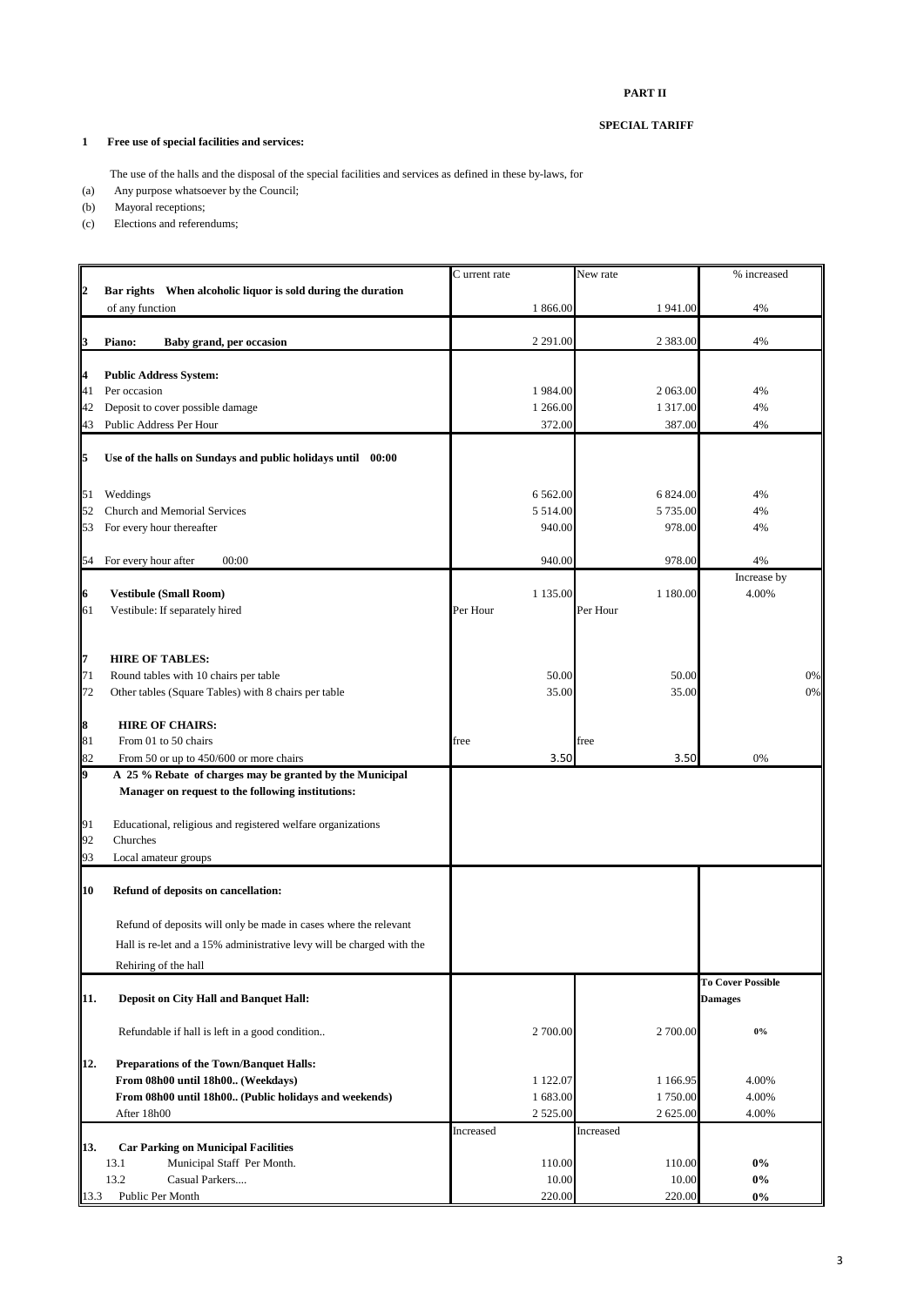#### **PART II**

#### **SPECIAL TARIFF**

### **1 Free use of special facilities and services:**

The use of the halls and the disposal of the special facilities and services as defined in these by-laws, for

- (a) Any purpose whatsoever by the Council;
- (b) Mayoral receptions;
- (c) Elections and referendums;

|                  |                                                                       | C urrent rate | New rate      | % increased              |
|------------------|-----------------------------------------------------------------------|---------------|---------------|--------------------------|
| $\overline{2}$   | Bar rights When alcoholic liquor is sold during the duration          |               |               |                          |
|                  | of any function                                                       | 1 866.00      | 1941.00       | 4%                       |
|                  |                                                                       |               |               |                          |
| 3                | Piano:<br>Baby grand, per occasion                                    | 2 291.00      | 2 3 8 3 .00   | 4%                       |
|                  | <b>Public Address System:</b>                                         |               |               |                          |
| 4<br>41          | Per occasion                                                          | 1984.00       | 2 063.00      | 4%                       |
| 42               | Deposit to cover possible damage                                      | 1 266.00      | 1 317.00      | 4%                       |
| 43               | Public Address Per Hour                                               | 372.00        | 387.00        | 4%                       |
|                  |                                                                       |               |               |                          |
| 5                | Use of the halls on Sundays and public holidays until 00:00           |               |               |                          |
| 51               | Weddings                                                              | 6 5 6 2.00    | 6 824.00      | 4%                       |
| 52               | Church and Memorial Services                                          | 5 5 1 4 .00   | 5 735.00      | 4%                       |
| 53               | For every hour thereafter                                             | 940.00        | 978.00        | 4%                       |
|                  |                                                                       |               |               |                          |
| 54               | For every hour after<br>00:00                                         | 940.00        | 978.00        | 4%                       |
|                  |                                                                       |               |               | Increase by              |
| 16               | <b>Vestibule (Small Room)</b>                                         | 1 1 3 5 .00   | 1 1 8 0 . 0 0 | 4.00%                    |
| 61               | Vestibule: If separately hired                                        | Per Hour      | Per Hour      |                          |
|                  |                                                                       |               |               |                          |
| ll7              | <b>HIRE OF TABLES:</b>                                                |               |               |                          |
| 71               | Round tables with 10 chairs per table                                 | 50.00         | 50.00         | 0%                       |
| 72               | Other tables (Square Tables) with 8 chairs per table                  | 35.00         | 35.00         | $0\%$                    |
|                  |                                                                       |               |               |                          |
| $\boldsymbol{8}$ | <b>HIRE OF CHAIRS:</b>                                                |               |               |                          |
| 81               | From 01 to 50 chairs                                                  | free          | free          |                          |
| 82               | From 50 or up to 450/600 or more chairs                               | 3.50          | 3.50          | 0%                       |
| 9                | A 25 % Rebate of charges may be granted by the Municipal              |               |               |                          |
|                  | Manager on request to the following institutions:                     |               |               |                          |
| 91               | Educational, religious and registered welfare organizations           |               |               |                          |
| 92               | Churches                                                              |               |               |                          |
| 93               | Local amateur groups                                                  |               |               |                          |
|                  |                                                                       |               |               |                          |
| 10               | Refund of deposits on cancellation:                                   |               |               |                          |
|                  |                                                                       |               |               |                          |
|                  | Refund of deposits will only be made in cases where the relevant      |               |               |                          |
|                  | Hall is re-let and a 15% administrative levy will be charged with the |               |               |                          |
|                  | Rehiring of the hall                                                  |               |               |                          |
|                  |                                                                       |               |               | <b>To Cover Possible</b> |
| 11.              | <b>Deposit on City Hall and Banquet Hall:</b>                         |               |               | <b>Damages</b>           |
|                  |                                                                       |               |               |                          |
|                  | Refundable if hall is left in a good condition                        | 2 700.00      | 2 700.00      | $0\%$                    |
| 12.              | <b>Preparations of the Town/Banquet Halls:</b>                        |               |               |                          |
|                  | From 08h00 until 18h00 (Weekdays)                                     | 1 122.07      | 1 1 6 6.95    | 4.00%                    |
|                  | From 08h00 until 18h00 (Public holidays and weekends)                 | 1 683.00      | 1750.00       | 4.00%                    |
|                  | After 18h00                                                           | 2 5 2 5 .00   | 2 625.00      | 4.00%                    |
|                  |                                                                       | Increased     | Increased     |                          |
| 13.              | <b>Car Parking on Municipal Facilities</b>                            |               |               |                          |
|                  | 13.1<br>Municipal Staff Per Month.                                    | 110.00        | 110.00        | $0\%$                    |
|                  | 13.2<br>Casual Parkers                                                | 10.00         | 10.00         | $0\%$                    |
| 13.3             | Public Per Month                                                      | 220.00        | 220.00        | $0\%$                    |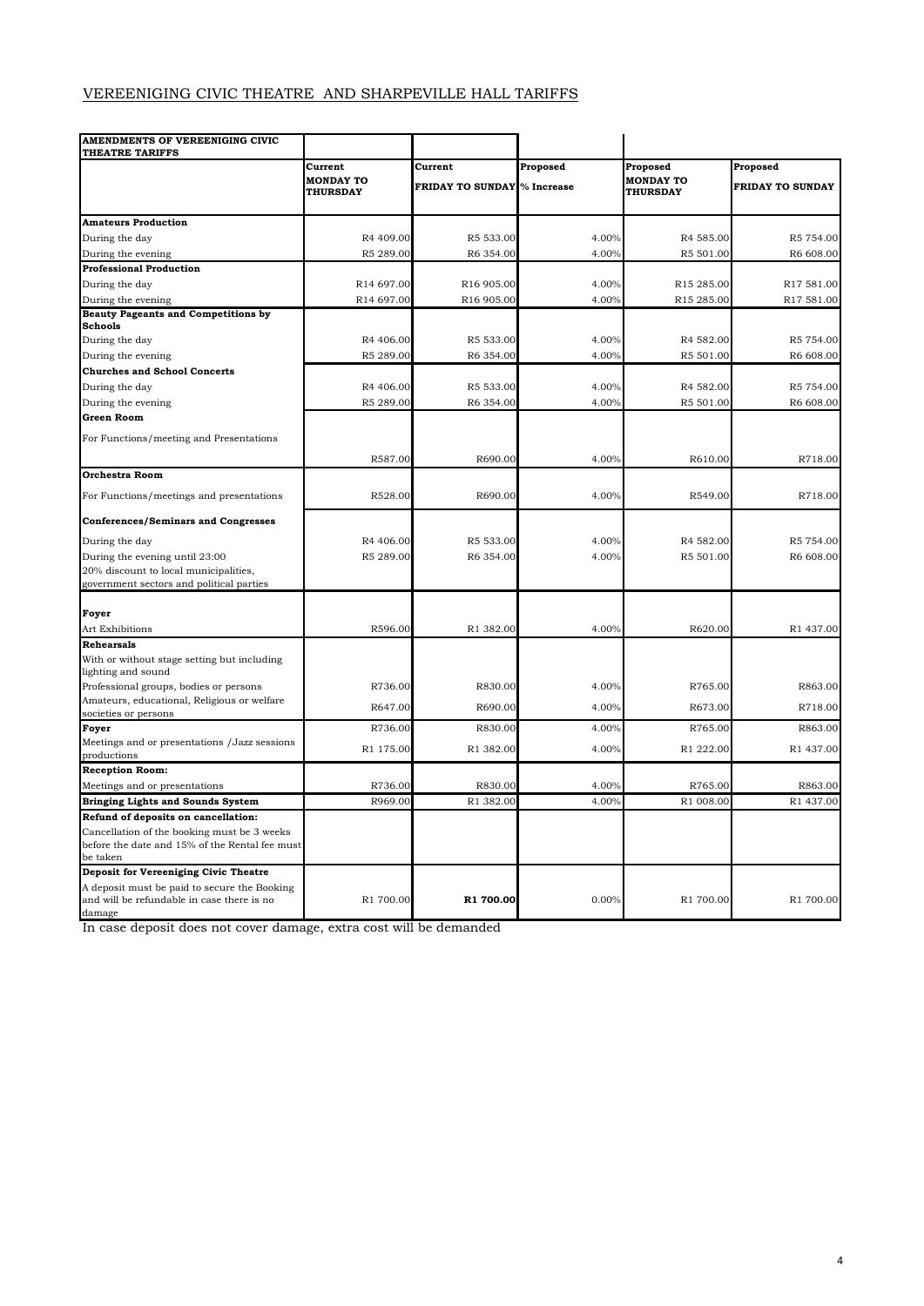## VEREENIGING CIVIC THEATRE AND SHARPEVILLE HALL TARIFFS

| AMENDMENTS OF VEREENIGING CIVIC<br>THEATRE TARIFFS                  |                                     |                         |            |                                     |                         |
|---------------------------------------------------------------------|-------------------------------------|-------------------------|------------|-------------------------------------|-------------------------|
|                                                                     | Current                             | Current                 | Proposed   | Proposed                            | Proposed                |
|                                                                     | <b>MONDAY TO</b><br><b>THURSDAY</b> | <b>FRIDAY TO SUNDAY</b> | % Increase | <b>MONDAY TO</b><br><b>THURSDAY</b> | <b>FRIDAY TO SUNDAY</b> |
| <b>Amateurs Production</b>                                          |                                     |                         |            |                                     |                         |
| During the day                                                      | R4 409.00                           | R5 533.00               | 4.00%      | R4 585.00                           | R5 754.00               |
| During the evening                                                  | R5 289.00                           | R6 354.00               | 4.00%      | R5 501.00                           | R6 608.00               |
| <b>Professional Production</b>                                      |                                     |                         |            |                                     |                         |
| During the day                                                      | R14 697.00                          | R16 905.00              | 4.00%      | R15 285.00                          | R17 581.00              |
| During the evening                                                  | R14 697.00                          | R16 905.00              | 4.00%      | R15 285.00                          | R17 581.00              |
| <b>Beauty Pageants and Competitions by</b>                          |                                     |                         |            |                                     |                         |
| <b>Schools</b>                                                      |                                     |                         |            |                                     |                         |
| During the day                                                      | R4 406.00                           | R5 533.00               | 4.00%      | R4 582.00                           | R5 754.00               |
| During the evening                                                  | R5 289.00                           | R6 354.00               | 4.00%      | R5 501.00                           | R6 608.00               |
| <b>Churches and School Concerts</b>                                 |                                     |                         |            |                                     |                         |
| During the day                                                      | R4 406.00                           | R5 533.00               | 4.00%      | R4 582.00                           | R5 754.00               |
| During the evening                                                  | R5 289.00                           | R6 354.00               | 4.00%      | R5 501.00                           | R6 608.00               |
| Green Room                                                          |                                     |                         |            |                                     |                         |
| For Functions/meeting and Presentations                             |                                     |                         |            |                                     |                         |
|                                                                     | R587.00                             | R690.00                 | 4.00%      | R610.00                             | R718.00                 |
| <b>Orchestra Room</b>                                               |                                     |                         |            |                                     |                         |
| For Functions/meetings and presentations                            | R528.00                             | R690.00                 | 4.00%      | R549.00                             | R718.00                 |
| <b>Conferences/Seminars and Congresses</b>                          |                                     |                         |            |                                     |                         |
| During the day                                                      | R4 406.00                           | R5 533.00               | 4.00%      | R4 582.00                           | R5 754.00               |
| During the evening until 23:00                                      | R5 289.00                           | R6 354.00               | 4.00%      | R5 501.00                           | R6 608.00               |
| 20% discount to local municipalities,                               |                                     |                         |            |                                     |                         |
| government sectors and political parties                            |                                     |                         |            |                                     |                         |
| Foyer                                                               |                                     |                         |            |                                     |                         |
| Art Exhibitions                                                     | R596.00                             | R1 382.00               | 4.00%      | R620.00                             | R1 437.00               |
| <b>Rehearsals</b>                                                   |                                     |                         |            |                                     |                         |
| With or without stage setting but including                         |                                     |                         |            |                                     |                         |
| lighting and sound                                                  |                                     |                         |            |                                     |                         |
| Professional groups, bodies or persons                              | R736.00                             | R830.00                 | 4.00%      | R765.00                             | R863.00                 |
| Amateurs, educational, Religious or welfare<br>societies or persons | R647.00                             | R690.00                 | 4.00%      | R673.00                             | R718.00                 |
| Foyer                                                               | R736.00                             | R830.00                 | 4.00%      | R765.00                             | R863.00                 |
| Meetings and or presentations /Jazz sessions<br>productions         | R1 175.00                           | R1 382.00               | 4.00%      | R1 222.00                           | R1 437.00               |
| <b>Reception Room:</b>                                              |                                     |                         |            |                                     |                         |
| Meetings and or presentations                                       | R736.00                             | R830.00                 | 4.00%      | R765.00                             | R863.00                 |
| Bringing Lights and Sounds System                                   | R969.00                             | R1 382.00               | 4.00%      | R1 008.00                           | R1 437.00               |
| Refund of deposits on cancellation:                                 |                                     |                         |            |                                     |                         |
| Cancellation of the booking must be 3 weeks                         |                                     |                         |            |                                     |                         |
| before the date and 15% of the Rental fee must                      |                                     |                         |            |                                     |                         |
| be taken<br>Deposit for Vereeniging Civic Theatre                   |                                     |                         |            |                                     |                         |
| A deposit must be paid to secure the Booking                        |                                     |                         |            |                                     |                         |
| and will be refundable in case there is no                          | R1 700.00                           | R1 700.00               | 0.00%      | R1 700.00                           | R1 700.00               |
| damage                                                              |                                     |                         |            |                                     |                         |

In case deposit does not cover damage, extra cost will be demanded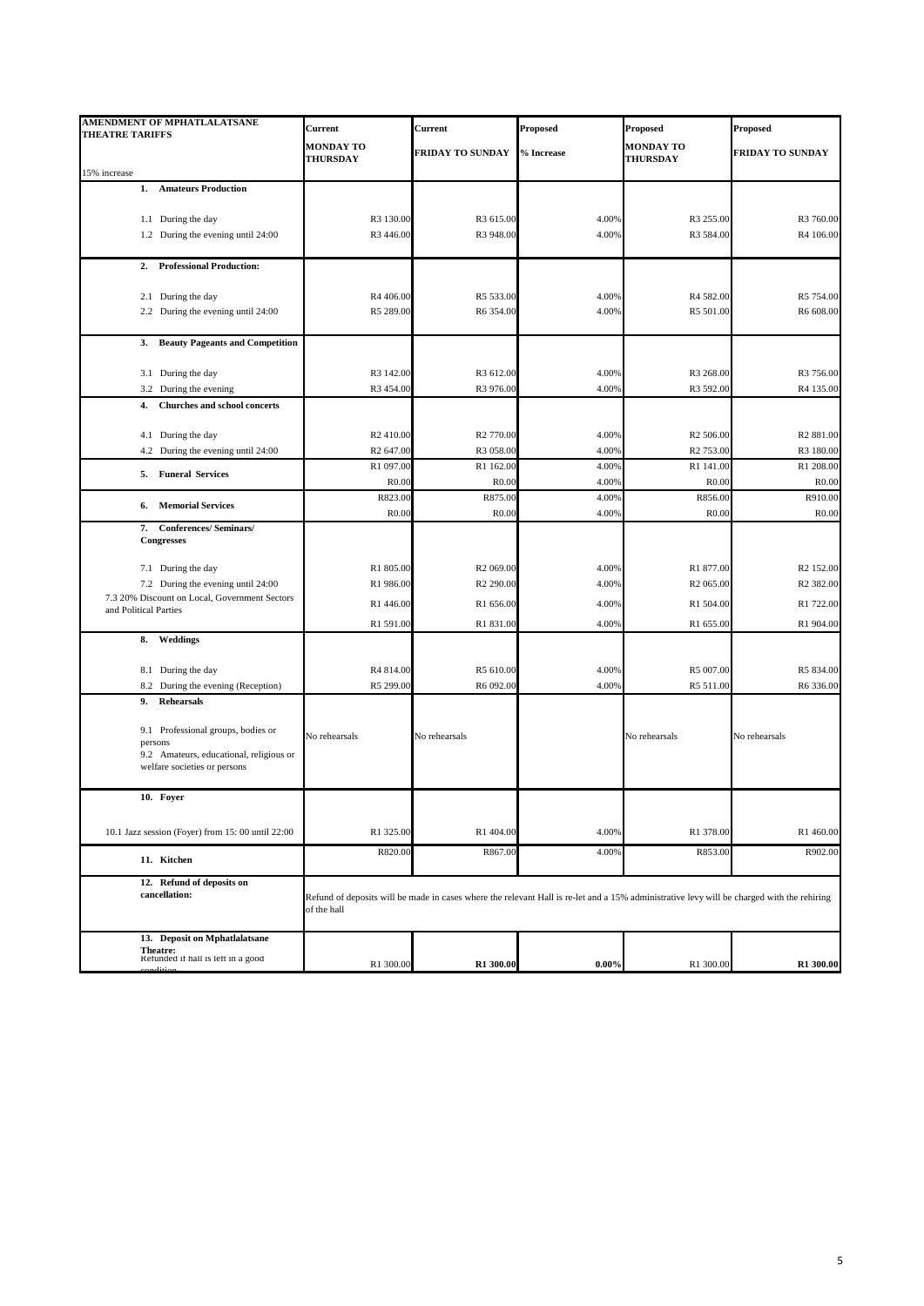| <b>AMENDMENT OF MPHATLALATSANE</b><br><b>THEATRE TARIFFS</b>            | Current                             | Current                      | Proposed       | Proposed                                                                                                                                   | <b>Proposed</b>              |
|-------------------------------------------------------------------------|-------------------------------------|------------------------------|----------------|--------------------------------------------------------------------------------------------------------------------------------------------|------------------------------|
|                                                                         | <b>MONDAY TO</b><br><b>THURSDAY</b> | <b>FRIDAY TO SUNDAY</b>      | % Increase     | <b>MONDAY TO</b><br><b>THURSDAY</b>                                                                                                        | FRIDAY TO SUNDAY             |
| 15% increase                                                            |                                     |                              |                |                                                                                                                                            |                              |
| 1.<br><b>Amateurs Production</b>                                        |                                     |                              |                |                                                                                                                                            |                              |
| 1.1 During the day                                                      | R3 130.00                           | R3 615.00                    | 4.00%          | R3 255.00                                                                                                                                  | R3 760.00                    |
| 1.2 During the evening until 24:00                                      | R3 446.00                           | R3 948.00                    | 4.00%          | R3 584.00                                                                                                                                  | R4 106.00                    |
|                                                                         |                                     |                              |                |                                                                                                                                            |                              |
| 2. Professional Production:                                             |                                     |                              |                |                                                                                                                                            |                              |
| 2.1 During the day                                                      | R4 406.00                           | R5 533.00                    | 4.00%          | R4 582.00                                                                                                                                  | R5 754.00                    |
| 2.2 During the evening until 24:00                                      | R5 289.00                           | R6 354.00                    | 4.00%          | R5 501.00                                                                                                                                  | R6 608.00                    |
|                                                                         |                                     |                              |                |                                                                                                                                            |                              |
| <b>Beauty Pageants and Competition</b><br>3.                            |                                     |                              |                |                                                                                                                                            |                              |
|                                                                         |                                     |                              |                |                                                                                                                                            |                              |
| 3.1 During the day<br>3.2 During the evening                            | R3 142.00<br>R3 454.00              | R3 612.00<br>R3 976.00       | 4.00%<br>4.00% | R3 268.00<br>R3 592.00                                                                                                                     | R3 756.00<br>R4 135.00       |
| Churches and school concerts<br>4.                                      |                                     |                              |                |                                                                                                                                            |                              |
|                                                                         |                                     |                              |                |                                                                                                                                            |                              |
| 4.1 During the day                                                      | R <sub>2</sub> 410.00               | R <sub>2</sub> 770.00        | 4.00%          | R <sub>2</sub> 506.00                                                                                                                      | R <sub>2</sub> 881.00        |
| 4.2 During the evening until 24:00                                      | R <sub>2</sub> 647.00               | R3 058.00                    | 4.00%          | R <sub>2</sub> 753.00                                                                                                                      | R3 180.00                    |
| 5. Funeral Services                                                     | R1 097.00                           | R1 162.00                    | 4.00%          | R1 141.00                                                                                                                                  | R1 208.00                    |
|                                                                         | R <sub>0.00</sub><br>R823.00        | R <sub>0.00</sub><br>R875.00 | 4.00%<br>4.00% | R <sub>0.00</sub><br>R856.00                                                                                                               | R <sub>0.00</sub><br>R910.00 |
| <b>Memorial Services</b><br>6.                                          | R <sub>0.00</sub>                   | R <sub>0.00</sub>            | 4.00%          | R <sub>0.00</sub>                                                                                                                          | R <sub>0.00</sub>            |
| 7. Conferences/ Seminars/                                               |                                     |                              |                |                                                                                                                                            |                              |
| Congresses                                                              |                                     |                              |                |                                                                                                                                            |                              |
| 7.1 During the day                                                      | R1 805.00                           | R <sub>2</sub> 069.00        | 4.00%          | R1 877.00                                                                                                                                  | R <sub>2</sub> 152.00        |
| 7.2 During the evening until 24:00                                      | R1 986.00                           | R <sub>2</sub> 290.00        | 4.00%          | R <sub>2</sub> 065.00                                                                                                                      | R <sub>2</sub> 382.00        |
| 7.3 20% Discount on Local, Government Sectors                           | R1 446.00                           | R1 656.00                    | 4.00%          | R1 504.00                                                                                                                                  | R1 722.00                    |
| and Political Parties                                                   | R1 591.00                           | R1 831.00                    | 4.00%          | R1 655.00                                                                                                                                  | R1 904.00                    |
| 8. Weddings                                                             |                                     |                              |                |                                                                                                                                            |                              |
|                                                                         |                                     |                              |                |                                                                                                                                            |                              |
| 8.1 During the day                                                      | R4 814.00                           | R5 610.00                    | 4.00%          | R5 007.00                                                                                                                                  | R5 834.00                    |
| 8.2 During the evening (Reception)                                      | R5 299.00                           | R6 092.00                    | 4.00%          | R5 511.00                                                                                                                                  | R6 336.00                    |
| Rehearsals<br>9.                                                        |                                     |                              |                |                                                                                                                                            |                              |
| 9.1 Professional groups, bodies or                                      |                                     |                              |                |                                                                                                                                            |                              |
| persons                                                                 | No rehearsals                       | No rehearsals                |                | No rehearsals                                                                                                                              | No rehearsals                |
| 9.2 Amateurs, educational, religious or<br>welfare societies or persons |                                     |                              |                |                                                                                                                                            |                              |
|                                                                         |                                     |                              |                |                                                                                                                                            |                              |
| 10. Foyer                                                               |                                     |                              |                |                                                                                                                                            |                              |
|                                                                         |                                     |                              |                |                                                                                                                                            |                              |
| 10.1 Jazz session (Foyer) from 15:00 until 22:00                        | R1 325.00                           | R1 404.00                    | 4.00%          | R1 378.00                                                                                                                                  | R1 460.00                    |
| 11. Kitchen                                                             | R820.00                             | R867.00                      | 4.00%          | R853.00                                                                                                                                    | R902.00                      |
| 12. Refund of deposits on                                               |                                     |                              |                |                                                                                                                                            |                              |
| cancellation:                                                           | of the hall                         |                              |                | Refund of deposits will be made in cases where the relevant Hall is re-let and a 15% administrative levy will be charged with the rehiring |                              |
|                                                                         |                                     |                              |                |                                                                                                                                            |                              |
| 13. Deposit on Mphatlalatsane<br>Theatre:                               |                                     |                              |                |                                                                                                                                            |                              |
| Refunded if hall is left in a good                                      | R1 300.00                           | R1 300.00                    | $0.00\%$       | R1 300.00                                                                                                                                  | R1 300.00                    |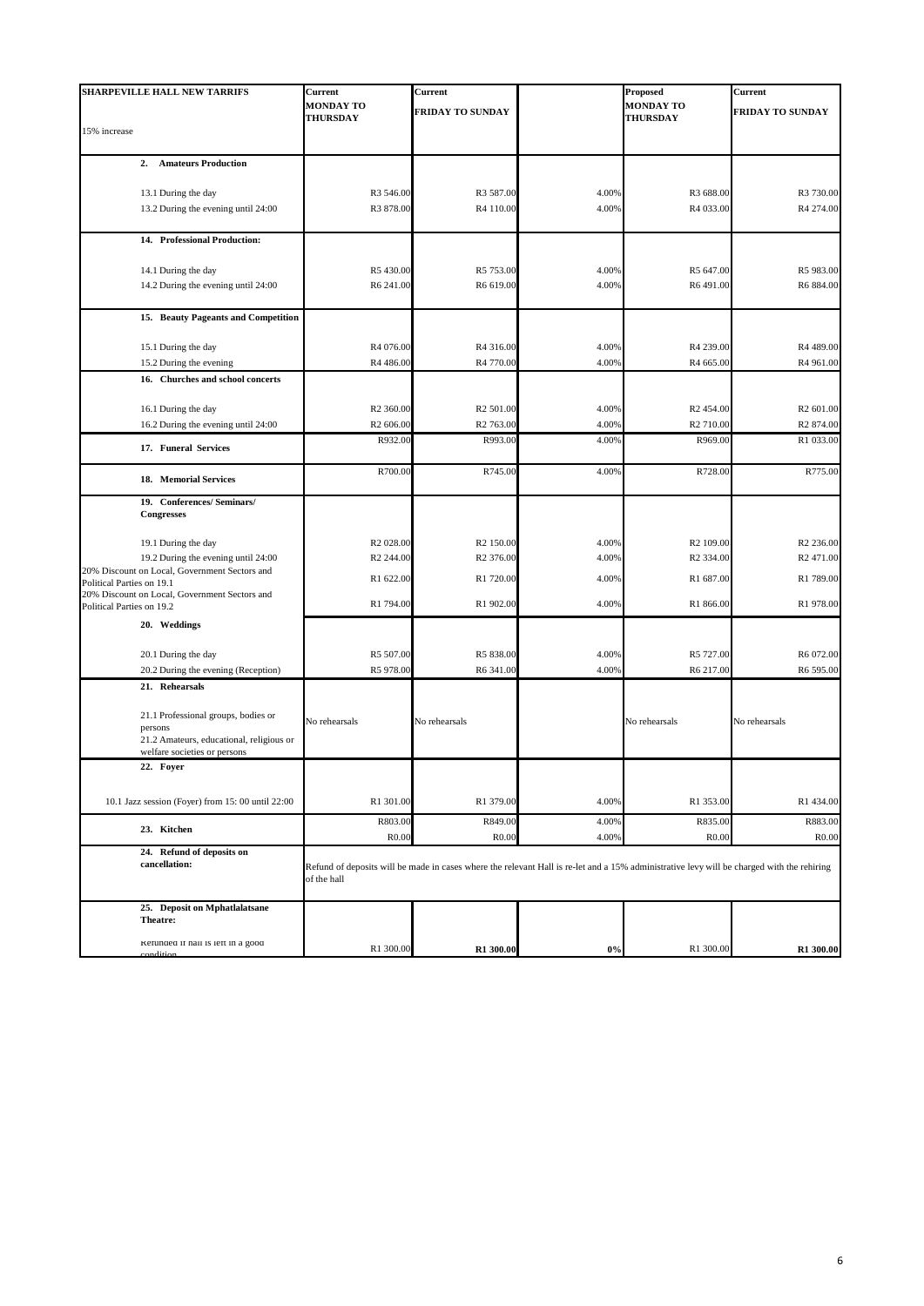| <b>SHARPEVILLE HALL NEW TARRIFS</b>                                                                                        | Current                             | Current                       |                | <b>Proposed</b>                                                                                                                            | Current                       |
|----------------------------------------------------------------------------------------------------------------------------|-------------------------------------|-------------------------------|----------------|--------------------------------------------------------------------------------------------------------------------------------------------|-------------------------------|
|                                                                                                                            | <b>MONDAY TO</b><br><b>THURSDAY</b> | <b>FRIDAY TO SUNDAY</b>       |                | <b>MONDAY TO</b><br><b>THURSDAY</b>                                                                                                        | FRIDAY TO SUNDAY              |
| 15% increase                                                                                                               |                                     |                               |                |                                                                                                                                            |                               |
| <b>Amateurs Production</b><br>2.                                                                                           |                                     |                               |                |                                                                                                                                            |                               |
| 13.1 During the day                                                                                                        | R3 546.00                           | R3 587.00                     | 4.00%          | R3 688.00                                                                                                                                  | R3 730.00                     |
| 13.2 During the evening until 24:00                                                                                        | R3 878.00                           | R4 110.00                     | 4.00%          | R4 033.00                                                                                                                                  | R4 274.00                     |
| 14. Professional Production:                                                                                               |                                     |                               |                |                                                                                                                                            |                               |
|                                                                                                                            |                                     |                               |                |                                                                                                                                            |                               |
| 14.1 During the day<br>14.2 During the evening until 24:00                                                                 | R5430.00<br>R6 241.00               | R5 753.00<br>R6 619.00        | 4.00%<br>4.00% | R5 647.00<br>R6491.00                                                                                                                      | R5 983.00<br>R6 884.00        |
|                                                                                                                            |                                     |                               |                |                                                                                                                                            |                               |
| 15. Beauty Pageants and Competition                                                                                        |                                     |                               |                |                                                                                                                                            |                               |
| 15.1 During the day                                                                                                        | R4 076.00                           | R4 316.00                     | 4.00%          | R4 239.00                                                                                                                                  | R4 489.00                     |
| 15.2 During the evening                                                                                                    | R4 486.00                           | R4 770.00                     | 4.00%          | R4 665.00                                                                                                                                  | R4 961.00                     |
| 16. Churches and school concerts                                                                                           |                                     |                               |                |                                                                                                                                            |                               |
| 16.1 During the day                                                                                                        | R <sub>2</sub> 360.00               | R <sub>2</sub> 501.00         | 4.00%          | R <sub>2</sub> 454.00                                                                                                                      | R <sub>2</sub> 601.00         |
| 16.2 During the evening until 24:00                                                                                        | R <sub>2</sub> 606.00               | R <sub>2</sub> 763.00         | 4.00%          | R <sub>2</sub> 710.00                                                                                                                      | R <sub>2</sub> 874.00         |
|                                                                                                                            | R932.00                             | R993.00                       | 4.00%          | R969.00                                                                                                                                    | R1 033.00                     |
| 17. Funeral Services                                                                                                       |                                     |                               |                |                                                                                                                                            |                               |
| 18. Memorial Services                                                                                                      | R700.00                             | R745.00                       | 4.00%          | R728.00                                                                                                                                    | R775.00                       |
| 19. Conferences/ Seminars/<br><b>Congresses</b>                                                                            |                                     |                               |                |                                                                                                                                            |                               |
| 19.1 During the day                                                                                                        | R <sub>2</sub> 028.00               | R <sub>2</sub> 150.00         | 4.00%          | R <sub>2</sub> 109.00                                                                                                                      | R <sub>2</sub> 236.00         |
| 19.2 During the evening until 24:00                                                                                        | R <sub>2</sub> 244.00               | R <sub>2</sub> 376.00         | 4.00%          | R <sub>2</sub> 334.00                                                                                                                      | R <sub>2</sub> 471.00         |
| 20% Discount on Local, Government Sectors and                                                                              | R1 622.00                           | R1 720.00                     | 4.00%          | R1 687.00                                                                                                                                  | R1 789.00                     |
| Political Parties on 19.1<br>20% Discount on Local, Government Sectors and<br>Political Parties on 19.2                    | R1 794.00                           | R1 902.00                     | 4.00%          | R1 866.00                                                                                                                                  | R1 978.00                     |
| 20. Weddings                                                                                                               |                                     |                               |                |                                                                                                                                            |                               |
|                                                                                                                            |                                     |                               |                |                                                                                                                                            |                               |
| 20.1 During the day                                                                                                        | R5 507.00                           | R5 838.00                     | 4.00%          | R5 727.00                                                                                                                                  | R6 072.00                     |
| 20.2 During the evening (Reception)<br>21. Rehearsals                                                                      | R5 978.00                           | R6 341.00                     | 4.00%          | R6 217.00                                                                                                                                  | R6 595.00                     |
|                                                                                                                            |                                     |                               |                |                                                                                                                                            |                               |
| 21.1 Professional groups, bodies or<br>persons<br>21.2 Amateurs, educational, religious or<br>welfare societies or persons | No rehearsals                       | No rehearsals                 |                | No rehearsals                                                                                                                              | No rehearsals                 |
| 22. Foyer                                                                                                                  |                                     |                               |                |                                                                                                                                            |                               |
|                                                                                                                            |                                     |                               |                |                                                                                                                                            |                               |
| 10.1 Jazz session (Foyer) from 15:00 until 22:00                                                                           | R1 301.00                           | R1 379.00                     | 4.00%          | R1 353.00                                                                                                                                  | R1 434.00                     |
| 23. Kitchen                                                                                                                | R803.00<br>R <sub>0.00</sub>        | R849.00<br>R <sub>0.0</sub> c | 4.00%<br>4.00% | R835.00<br>R <sub>0.00</sub>                                                                                                               | R883.00<br>R <sub>0.0</sub> 0 |
| 24. Refund of deposits on<br>cancellation:                                                                                 |                                     |                               |                |                                                                                                                                            |                               |
|                                                                                                                            | of the hall                         |                               |                | Refund of deposits will be made in cases where the relevant Hall is re-let and a 15% administrative levy will be charged with the rehiring |                               |
| 25. Deposit on Mphatlalatsane<br>Theatre:                                                                                  |                                     |                               |                |                                                                                                                                            |                               |
| Refunded if hall is left in a good<br>ditio                                                                                | R1 300.00                           | R1 300.00                     | $0\%$          | R1 300.00                                                                                                                                  | R1 300.00                     |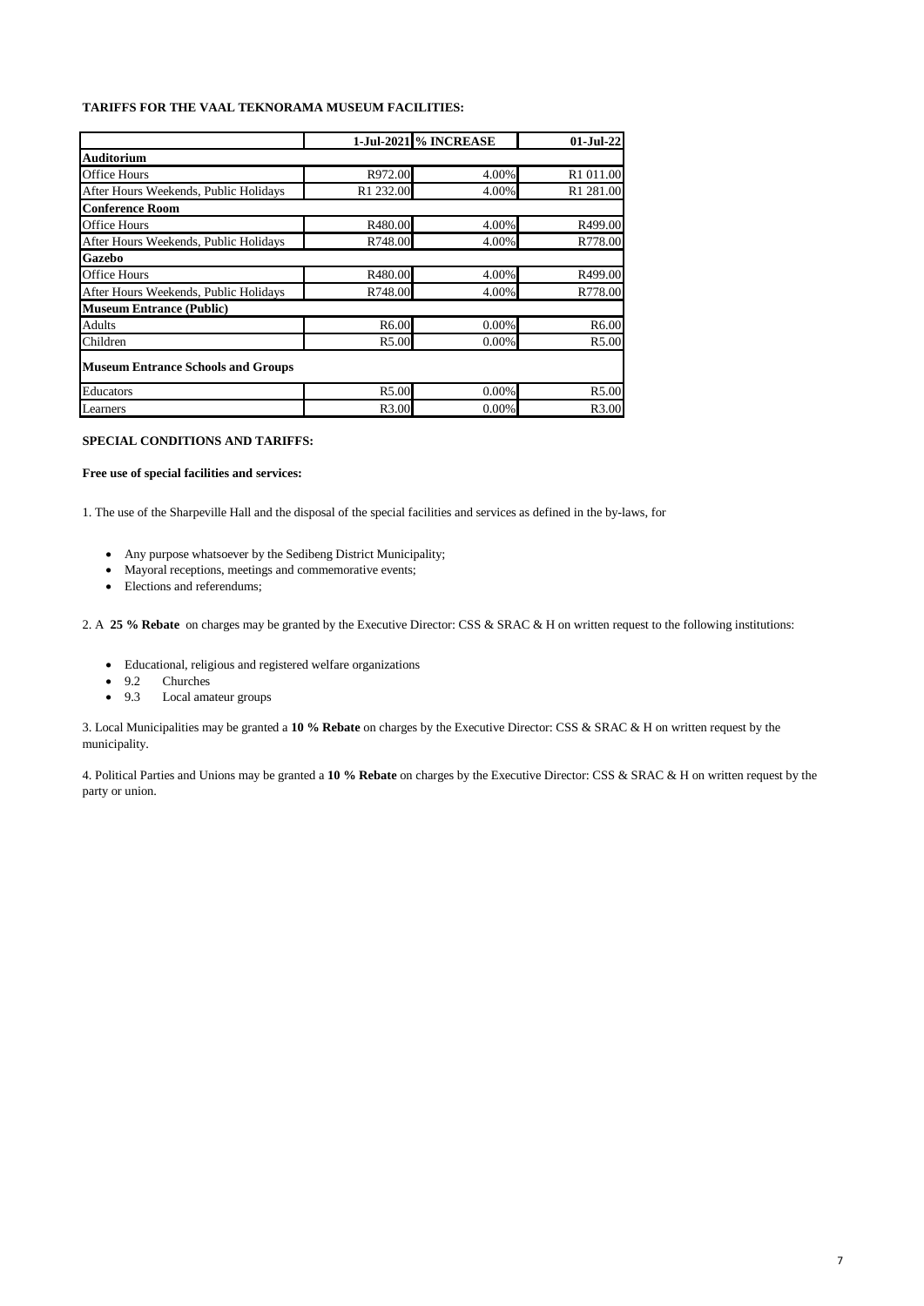#### **TARIFFS FOR THE VAAL TEKNORAMA MUSEUM FACILITIES:**

|                                           | <b>1-Jul-2021 % INCREASE</b> |       | $01-Jul-22$           |
|-------------------------------------------|------------------------------|-------|-----------------------|
| <b>Auditorium</b>                         |                              |       |                       |
| <b>Office Hours</b>                       | R972.00                      | 4.00% | R1 011.00             |
| After Hours Weekends, Public Holidays     | R1 232.00                    | 4.00% | R <sub>1</sub> 281.00 |
| <b>Conference Room</b>                    |                              |       |                       |
| <b>Office Hours</b>                       | R480.00                      | 4.00% | R499.00               |
| After Hours Weekends, Public Holidays     | R748.00                      | 4.00% | R778.00               |
| Gazebo                                    |                              |       |                       |
| <b>Office Hours</b>                       | R480.00                      | 4.00% | R499.00               |
| After Hours Weekends, Public Holidays     | R748.00                      | 4.00% | R778.00               |
| <b>Museum Entrance (Public)</b>           |                              |       |                       |
| Adults                                    | R6.00                        | 0.00% | R6.00                 |
| Children                                  | R5.00                        | 0.00% | R5.00                 |
| <b>Museum Entrance Schools and Groups</b> |                              |       |                       |
| Educators                                 | R5.00                        | 0.00% | R5.00                 |
| Learners                                  | R3.00                        | 0.00% | R3.00                 |

#### **SPECIAL CONDITIONS AND TARIFFS:**

#### **Free use of special facilities and services:**

1. The use of the Sharpeville Hall and the disposal of the special facilities and services as defined in the by-laws, for

- Any purpose whatsoever by the Sedibeng District Municipality;
- Mayoral receptions, meetings and commemorative events;
- Elections and referendums;

2. A **25 % Rebate** on charges may be granted by the Executive Director: CSS & SRAC & H on written request to the following institutions:

- Educational, religious and registered welfare organizations
- 9.2 Churches
- 9.3 Local amateur groups

3. Local Municipalities may be granted a **10 % Rebate** on charges by the Executive Director: CSS & SRAC & H on written request by the municipality.

4. Political Parties and Unions may be granted a **10 % Rebate** on charges by the Executive Director: CSS & SRAC & H on written request by the party or union.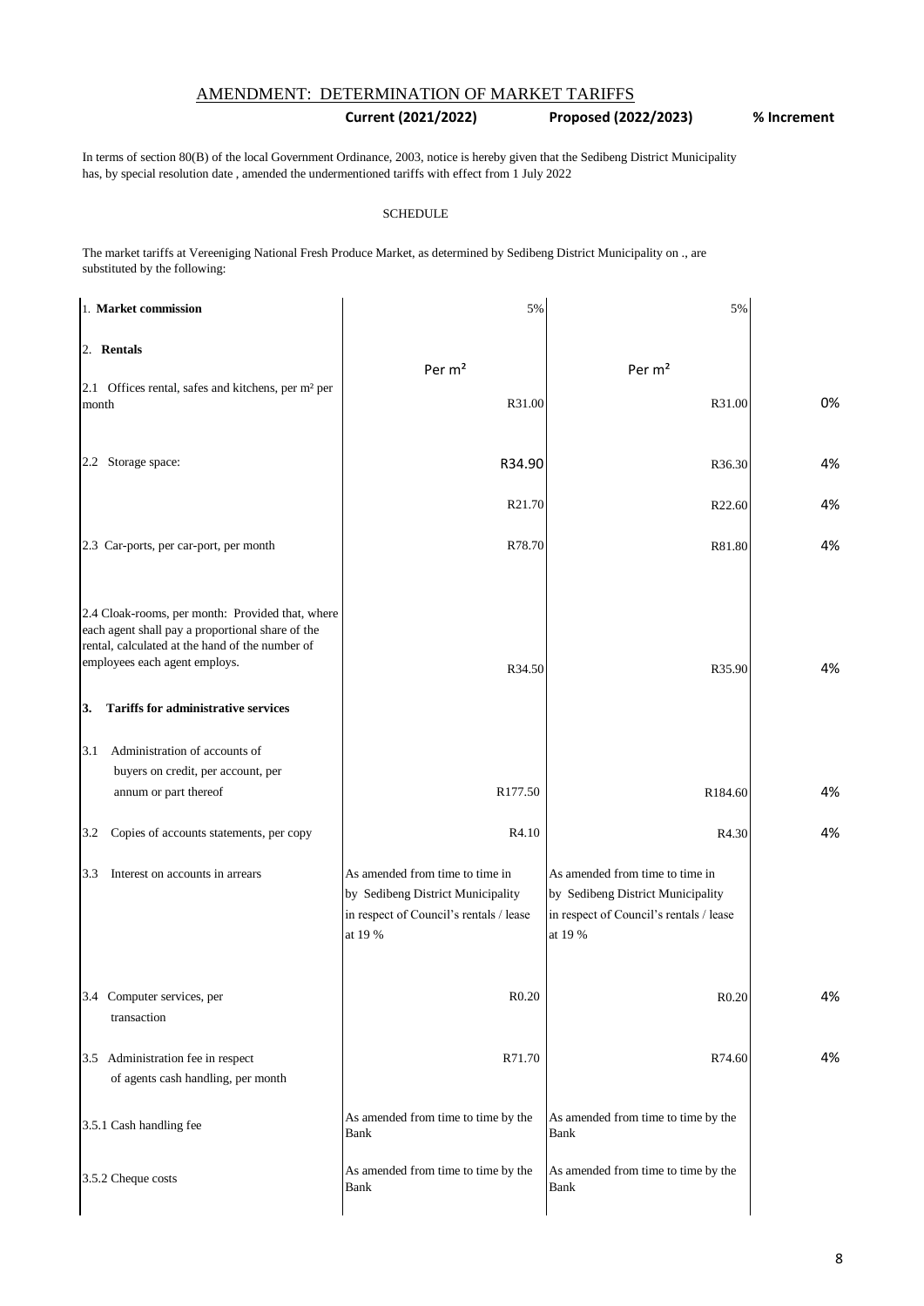# AMENDMENT: DETERMINATION OF MARKET TARIFFS

## **Current (2021/2022) Proposed (2022/2023) % Increment**

In terms of section 80(B) of the local Government Ordinance, 2003, notice is hereby given that the Sedibeng District Municipality has, by special resolution date , amended the undermentioned tariffs with effect from 1 July 2022

#### **SCHEDULE**

The market tariffs at Vereeniging National Fresh Produce Market, as determined by Sedibeng District Municipality on ., are substituted by the following:

| 1. Market commission                                                                                                                                                                                                                         | 5%                                                                                                                         | 5%                                                                                                                         |    |
|----------------------------------------------------------------------------------------------------------------------------------------------------------------------------------------------------------------------------------------------|----------------------------------------------------------------------------------------------------------------------------|----------------------------------------------------------------------------------------------------------------------------|----|
| 2. Rentals                                                                                                                                                                                                                                   |                                                                                                                            |                                                                                                                            |    |
| 2.1 Offices rental, safes and kitchens, per m <sup>2</sup> per<br>month                                                                                                                                                                      | Per m <sup>2</sup><br>R31.00                                                                                               | Per m <sup>2</sup><br>R31.00                                                                                               | 0% |
| 2.2 Storage space:                                                                                                                                                                                                                           | R34.90                                                                                                                     | R36.30                                                                                                                     | 4% |
|                                                                                                                                                                                                                                              | R21.70                                                                                                                     | R22.60                                                                                                                     | 4% |
| 2.3 Car-ports, per car-port, per month                                                                                                                                                                                                       | R78.70                                                                                                                     | R81.80                                                                                                                     | 4% |
| 2.4 Cloak-rooms, per month: Provided that, where<br>each agent shall pay a proportional share of the<br>rental, calculated at the hand of the number of<br>employees each agent employs.<br><b>Tariffs for administrative services</b><br>3. | R34.50                                                                                                                     | R35.90                                                                                                                     | 4% |
| Administration of accounts of<br>3.1                                                                                                                                                                                                         |                                                                                                                            |                                                                                                                            |    |
| buyers on credit, per account, per<br>annum or part thereof                                                                                                                                                                                  | R177.50                                                                                                                    | R184.60                                                                                                                    | 4% |
| Copies of accounts statements, per copy<br>3.2                                                                                                                                                                                               | R4.10                                                                                                                      | R4.30                                                                                                                      | 4% |
| Interest on accounts in arrears<br>3.3                                                                                                                                                                                                       | As amended from time to time in<br>by Sedibeng District Municipality<br>in respect of Council's rentals / lease<br>at 19 % | As amended from time to time in<br>by Sedibeng District Municipality<br>in respect of Council's rentals / lease<br>at 19 % |    |
| 3.4 Computer services, per<br>transaction                                                                                                                                                                                                    | R0.20                                                                                                                      | R <sub>0.20</sub>                                                                                                          | 4% |
| Administration fee in respect<br>3.5<br>of agents cash handling, per month                                                                                                                                                                   | R71.70                                                                                                                     | R74.60                                                                                                                     | 4% |
| 3.5.1 Cash handling fee                                                                                                                                                                                                                      | As amended from time to time by the<br>Bank                                                                                | As amended from time to time by the<br>Bank                                                                                |    |
| 3.5.2 Cheque costs                                                                                                                                                                                                                           | As amended from time to time by the<br>Bank                                                                                | As amended from time to time by the<br>Bank                                                                                |    |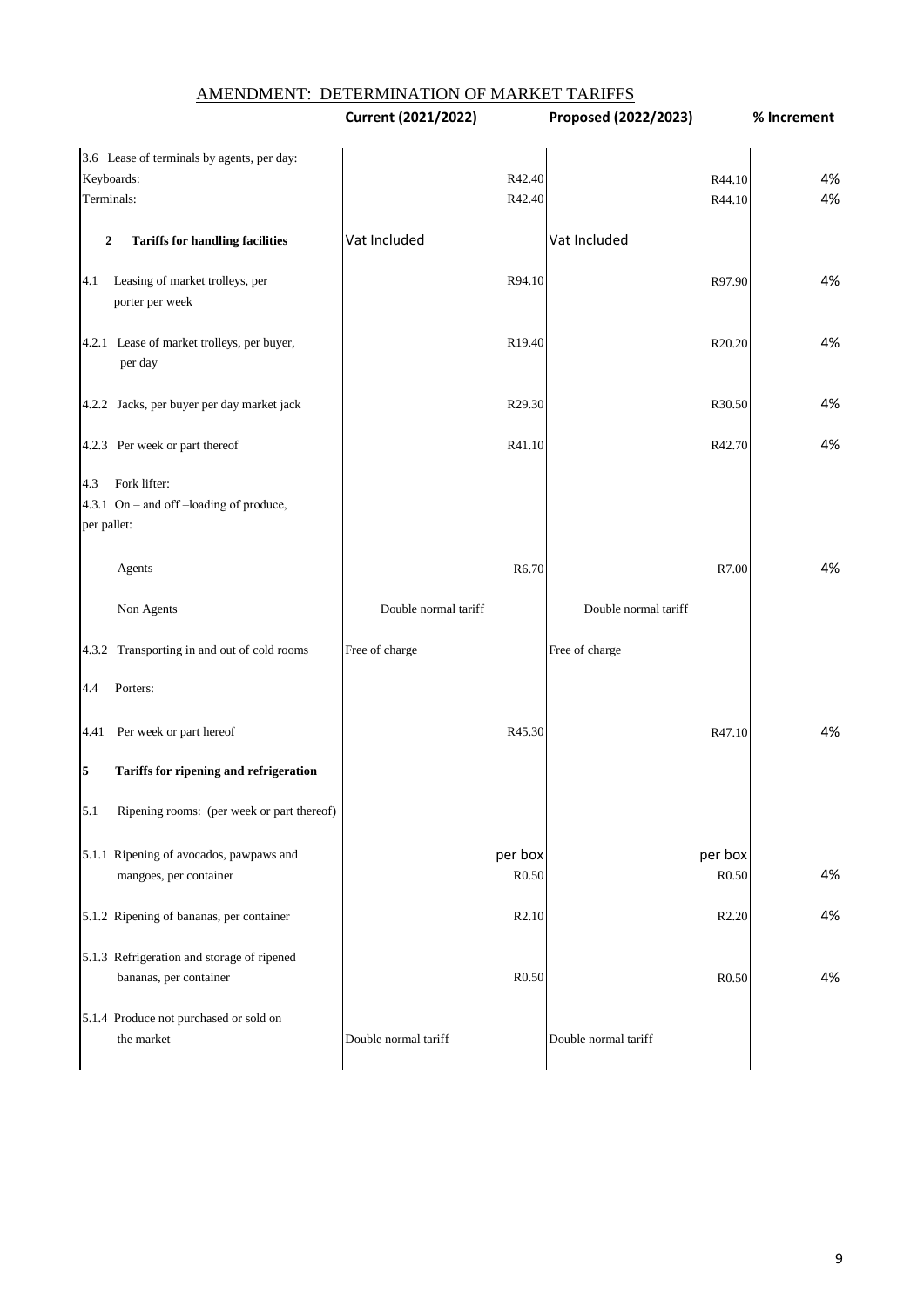|                    |                                                                      | Current (2021/2022)  | Proposed (2022/2023)         | % Increment |
|--------------------|----------------------------------------------------------------------|----------------------|------------------------------|-------------|
|                    | 3.6 Lease of terminals by agents, per day:                           |                      |                              |             |
|                    | Keyboards:                                                           | R42.40               | R44.10                       | 4%          |
| Terminals:         |                                                                      | R42.40               | R44.10                       | 4%          |
| $\boldsymbol{2}$   | <b>Tariffs for handling facilities</b>                               | Vat Included         | Vat Included                 |             |
| 4.1                | Leasing of market trolleys, per<br>porter per week                   | R94.10               | R97.90                       | 4%          |
|                    | 4.2.1 Lease of market trolleys, per buyer,<br>per day                | R <sub>19.40</sub>   | R20.20                       | 4%          |
|                    | 4.2.2 Jacks, per buyer per day market jack                           | R29.30               | R30.50                       | 4%          |
|                    | 4.2.3 Per week or part thereof                                       | R41.10               | R42.70                       | 4%          |
| 4.3<br>per pallet: | Fork lifter:<br>4.3.1 On - and off -loading of produce,              |                      |                              |             |
|                    | Agents                                                               | R <sub>6.70</sub>    | R7.00                        | 4%          |
|                    | Non Agents                                                           | Double normal tariff | Double normal tariff         |             |
|                    | 4.3.2 Transporting in and out of cold rooms                          | Free of charge       | Free of charge               |             |
| 4.4                | Porters:                                                             |                      |                              |             |
| 4.41               | Per week or part hereof                                              | R45.30               | R47.10                       | 4%          |
| 5                  | Tariffs for ripening and refrigeration                               |                      |                              |             |
| 5.1                | Ripening rooms: (per week or part thereof)                           |                      |                              |             |
|                    | 5.1.1 Ripening of avocados, pawpaws and<br>mangoes, per container    | per box<br>R0.50     | per box<br>R <sub>0.50</sub> | 4%          |
|                    | 5.1.2 Ripening of bananas, per container                             | R <sub>2.10</sub>    | R <sub>2.20</sub>            | 4%          |
|                    | 5.1.3 Refrigeration and storage of ripened<br>bananas, per container | R <sub>0.50</sub>    | R <sub>0.50</sub>            | 4%          |
|                    | 5.1.4 Produce not purchased or sold on<br>the market                 | Double normal tariff | Double normal tariff         |             |
|                    |                                                                      |                      |                              |             |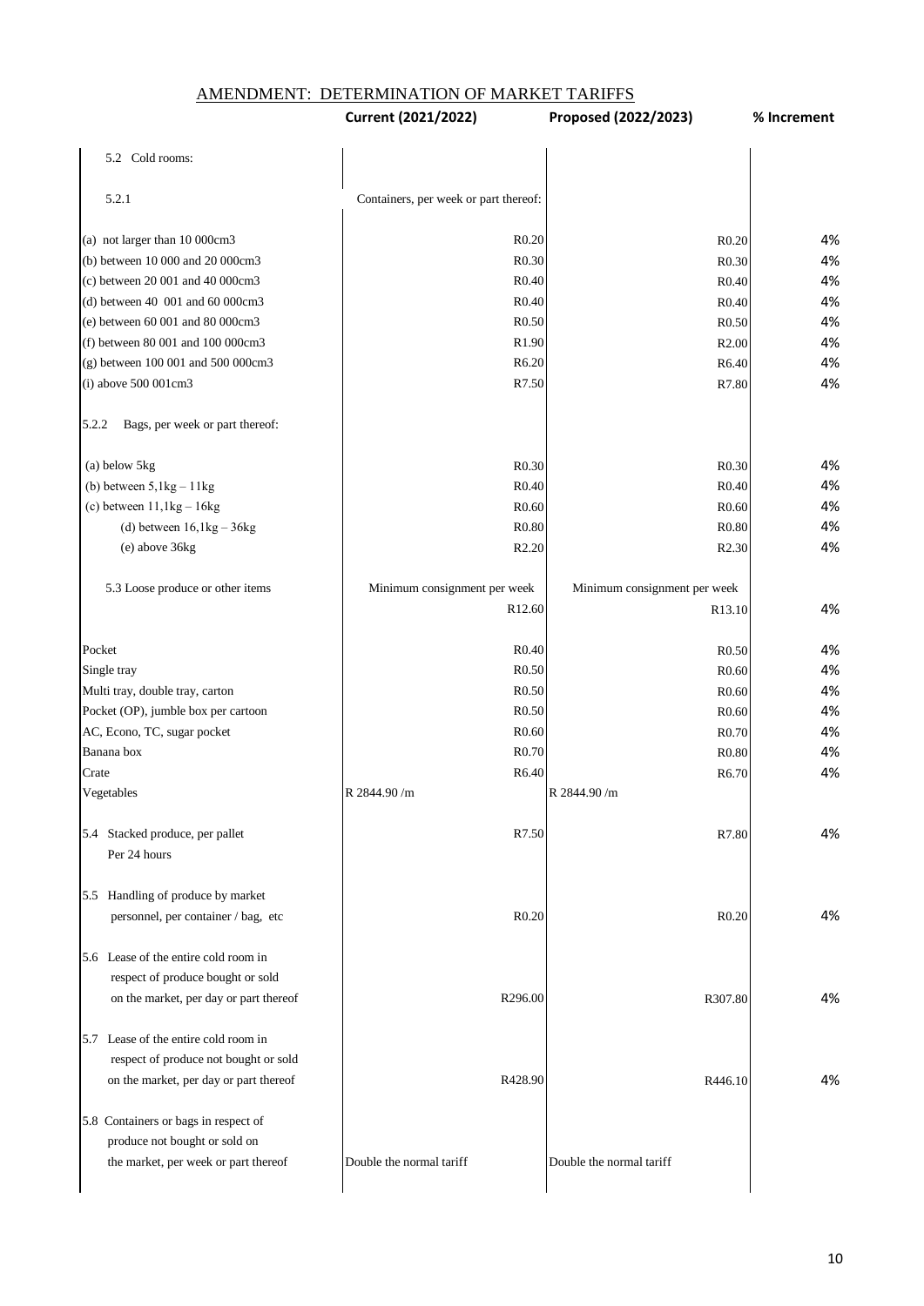AMENDMENT: DETERMINATION OF MARKET TARIFFS

|                                                                          | Current (2021/2022)                   | Proposed (2022/2023)         | % Increment |
|--------------------------------------------------------------------------|---------------------------------------|------------------------------|-------------|
| 5.2 Cold rooms:                                                          |                                       |                              |             |
| 5.2.1                                                                    | Containers, per week or part thereof: |                              |             |
| (a) not larger than 10 000cm3                                            | R <sub>0.20</sub>                     | R <sub>0.20</sub>            | 4%          |
| (b) between 10 000 and 20 000cm3                                         | R <sub>0.30</sub>                     | R <sub>0.30</sub>            | 4%          |
| (c) between 20 001 and 40 000cm3                                         | R0.40                                 | R0.40                        | 4%          |
| (d) between 40 001 and 60 000cm3                                         | R <sub>0.40</sub>                     | R0.40                        | 4%          |
| (e) between 60 001 and 80 000cm3                                         | R <sub>0.50</sub>                     | R <sub>0.50</sub>            | 4%          |
| (f) between 80 001 and 100 000cm3                                        | R1.90                                 | R <sub>2.00</sub>            | 4%          |
| (g) between 100 001 and 500 000cm3                                       | R6.20                                 | R6.40                        | 4%          |
| (i) above 500 001cm3                                                     | R7.50                                 | R7.80                        | 4%          |
| 5.2.2<br>Bags, per week or part thereof:                                 |                                       |                              |             |
| (a) below 5kg                                                            | R <sub>0.30</sub>                     | R <sub>0.30</sub>            | 4%          |
| (b) between $5,1kg - 11kg$                                               | R <sub>0.40</sub>                     | R0.40                        | 4%          |
| (c) between $11,1kg - 16kg$                                              | R <sub>0.60</sub>                     | R0.60                        | 4%          |
| (d) between $16,1kg-36kg$                                                | R <sub>0.80</sub>                     | R <sub>0.80</sub>            | 4%          |
| (e) above 36kg                                                           | R <sub>2.20</sub>                     | R <sub>2.30</sub>            | 4%          |
| 5.3 Loose produce or other items                                         | Minimum consignment per week          | Minimum consignment per week |             |
|                                                                          | R12.60                                | R <sub>13.10</sub>           | 4%          |
| Pocket                                                                   | R <sub>0.40</sub>                     | R <sub>0.50</sub>            | 4%          |
| Single tray                                                              | R <sub>0.50</sub>                     | R0.60                        | 4%          |
| Multi tray, double tray, carton                                          | R <sub>0.50</sub>                     | R0.60                        | 4%          |
| Pocket (OP), jumble box per cartoon                                      | R <sub>0.50</sub>                     | R <sub>0.60</sub>            | 4%          |
| AC, Econo, TC, sugar pocket                                              | R0.60                                 | R <sub>0.70</sub>            | 4%          |
| Banana box                                                               | R <sub>0.70</sub>                     | R <sub>0.80</sub>            | 4%          |
| Crate                                                                    | R6.40                                 | R6.70                        | 4%          |
| Vegetables                                                               | R 2844.90/m                           | R 2844.90 /m                 |             |
| 5.4 Stacked produce, per pallet<br>Per 24 hours                          | R7.50                                 | R7.80                        | 4%          |
| 5.5 Handling of produce by market<br>personnel, per container / bag, etc | R0.20                                 | R0.20                        | 4%          |
| 5.6 Lease of the entire cold room in                                     |                                       |                              |             |
| respect of produce bought or sold                                        |                                       |                              |             |
| on the market, per day or part thereof                                   | R296.00                               | R307.80                      | 4%          |
| 5.7 Lease of the entire cold room in                                     |                                       |                              |             |
| respect of produce not bought or sold                                    |                                       |                              |             |
| on the market, per day or part thereof                                   | R428.90                               | R446.10                      | 4%          |
| 5.8 Containers or bags in respect of                                     |                                       |                              |             |
| produce not bought or sold on                                            |                                       |                              |             |
| the market, per week or part thereof                                     | Double the normal tariff              | Double the normal tariff     |             |
|                                                                          |                                       |                              |             |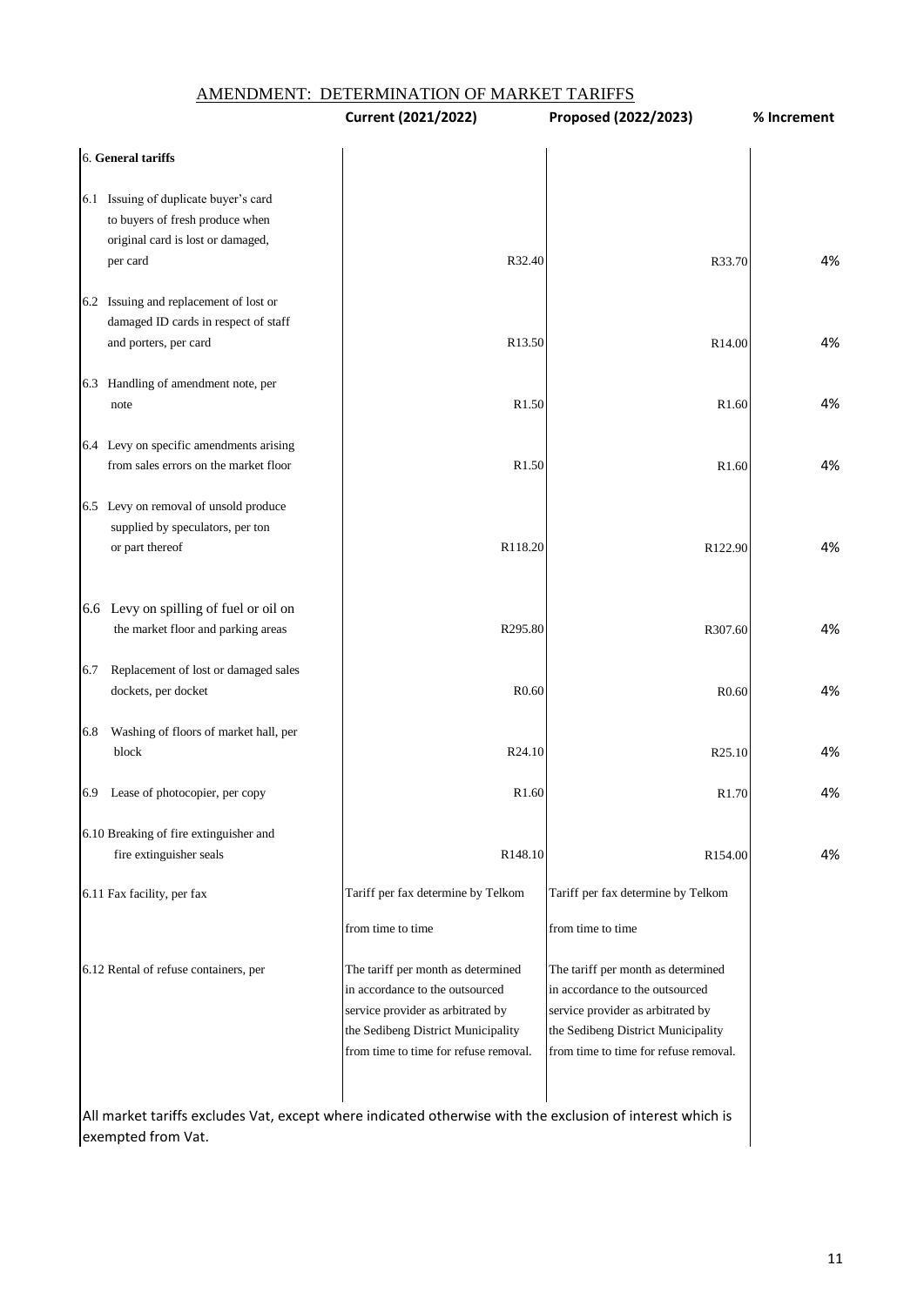|  |  | AMENDMENT:  DETERMINATION OF MARKET TARIFFS |
|--|--|---------------------------------------------|
|--|--|---------------------------------------------|

|                                                                                                                           | <b>Current (2021/2022)</b>                                                                                                                                                                | Proposed (2022/2023)                                                                                                                                                                      | % Increment |
|---------------------------------------------------------------------------------------------------------------------------|-------------------------------------------------------------------------------------------------------------------------------------------------------------------------------------------|-------------------------------------------------------------------------------------------------------------------------------------------------------------------------------------------|-------------|
| 6. General tariffs                                                                                                        |                                                                                                                                                                                           |                                                                                                                                                                                           |             |
| 6.1 Issuing of duplicate buyer's card<br>to buyers of fresh produce when<br>original card is lost or damaged,<br>per card | R32.40                                                                                                                                                                                    | R33.70                                                                                                                                                                                    | 4%          |
| 6.2 Issuing and replacement of lost or<br>damaged ID cards in respect of staff<br>and porters, per card                   | R13.50                                                                                                                                                                                    | R14.00                                                                                                                                                                                    | 4%          |
| 6.3 Handling of amendment note, per<br>note                                                                               | R1.50                                                                                                                                                                                     | R1.60                                                                                                                                                                                     | 4%          |
| 6.4 Levy on specific amendments arising<br>from sales errors on the market floor                                          | R1.50                                                                                                                                                                                     | R1.60                                                                                                                                                                                     | 4%          |
| 6.5 Levy on removal of unsold produce<br>supplied by speculators, per ton<br>or part thereof                              | R118.20                                                                                                                                                                                   | R122.90                                                                                                                                                                                   | 4%          |
| 6.6 Levy on spilling of fuel or oil on<br>the market floor and parking areas                                              | R295.80                                                                                                                                                                                   | R307.60                                                                                                                                                                                   | 4%          |
| Replacement of lost or damaged sales<br>6.7<br>dockets, per docket                                                        | R <sub>0.60</sub>                                                                                                                                                                         | R <sub>0.60</sub>                                                                                                                                                                         | 4%          |
| Washing of floors of market hall, per<br>6.8<br>block                                                                     | R24.10                                                                                                                                                                                    | R25.10                                                                                                                                                                                    | 4%          |
| Lease of photocopier, per copy<br>6.9                                                                                     | R1.60                                                                                                                                                                                     | R1.70                                                                                                                                                                                     | 4%          |
| 6.10 Breaking of fire extinguisher and<br>fire extinguisher seals                                                         | R148.10                                                                                                                                                                                   | R154.00                                                                                                                                                                                   | 4%          |
| 6.11 Fax facility, per fax                                                                                                | Tariff per fax determine by Telkom<br>from time to time                                                                                                                                   | Tariff per fax determine by Telkom<br>from time to time                                                                                                                                   |             |
| 6.12 Rental of refuse containers, per                                                                                     | The tariff per month as determined<br>in accordance to the outsourced<br>service provider as arbitrated by<br>the Sedibeng District Municipality<br>from time to time for refuse removal. | The tariff per month as determined<br>in accordance to the outsourced<br>service provider as arbitrated by<br>the Sedibeng District Municipality<br>from time to time for refuse removal. |             |

All market tariffs excludes Vat, except where indicated otherwise with the exclusion of interest which is exempted from Vat.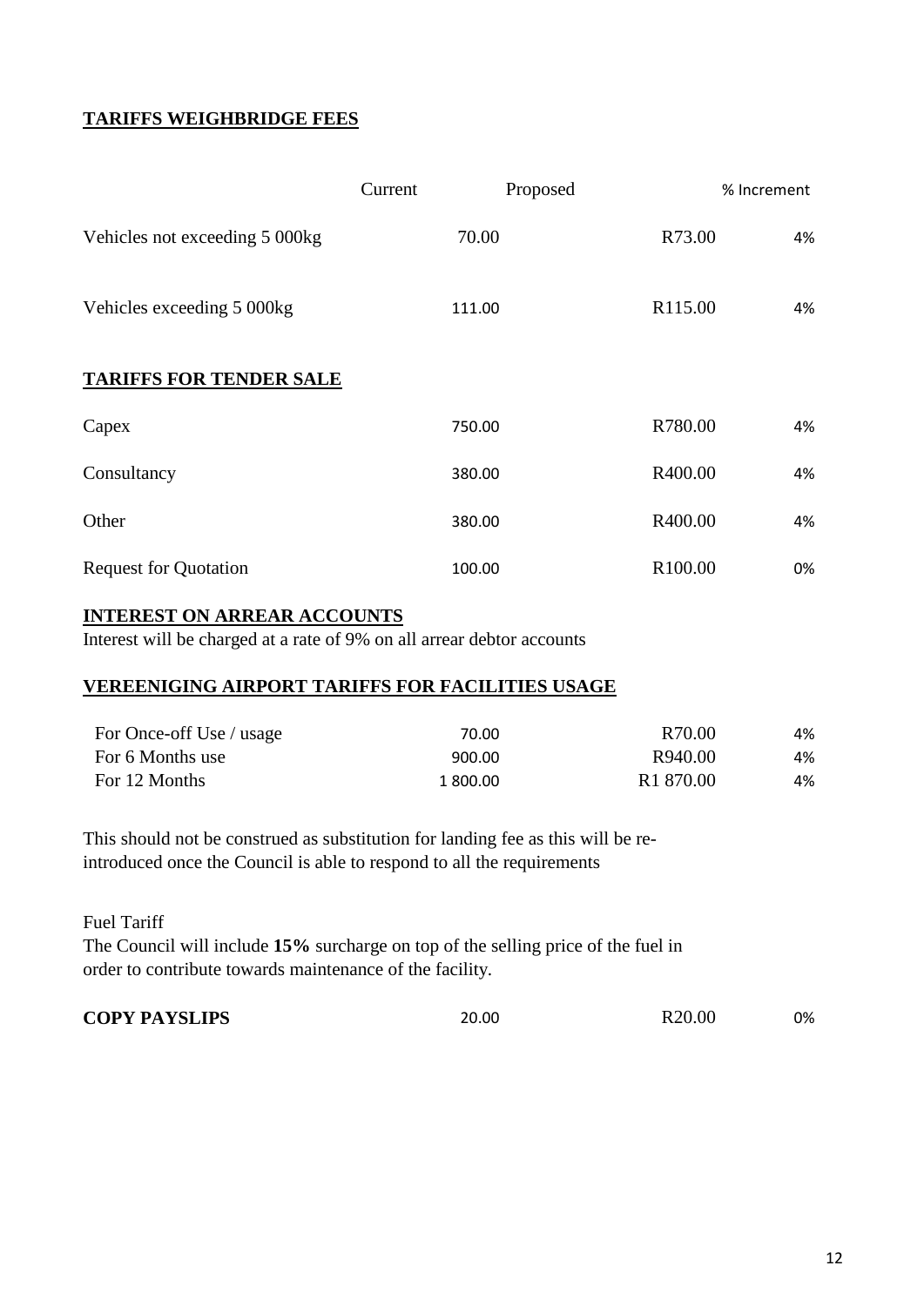# **TARIFFS WEIGHBRIDGE FEES**

|                                | Proposed<br>Current | % Increment   |
|--------------------------------|---------------------|---------------|
| Vehicles not exceeding 5 000kg | 70.00               | R73.00<br>4%  |
| Vehicles exceeding 5 000kg     | 111.00              | R115.00<br>4% |
| <b>TARIFFS FOR TENDER SALE</b> |                     |               |
| Capex                          | 750.00              | R780.00<br>4% |
| Consultancy                    | 380.00              | R400.00<br>4% |
| Other                          | 380.00              | R400.00<br>4% |
| <b>Request for Quotation</b>   | 100.00              | R100.00<br>0% |

## **INTEREST ON ARREAR ACCOUNTS**

Interest will be charged at a rate of 9% on all arrear debtor accounts

# **VEREENIGING AIRPORT TARIFFS FOR FACILITIES USAGE**

| For Once-off Use / usage | 70.00    | R70.00                | 4% |
|--------------------------|----------|-----------------------|----|
| For 6 Months use         | 900.00   | R940.00               | 4% |
| For 12 Months            | 1 800.00 | R <sub>1</sub> 870.00 | 4% |

This should not be construed as substitution for landing fee as this will be reintroduced once the Council is able to respond to all the requirements

Fuel Tariff

The Council will include **15%** surcharge on top of the selling price of the fuel in order to contribute towards maintenance of the facility.

**COPY PAYSLIPS** 20.00 R20.00 0%